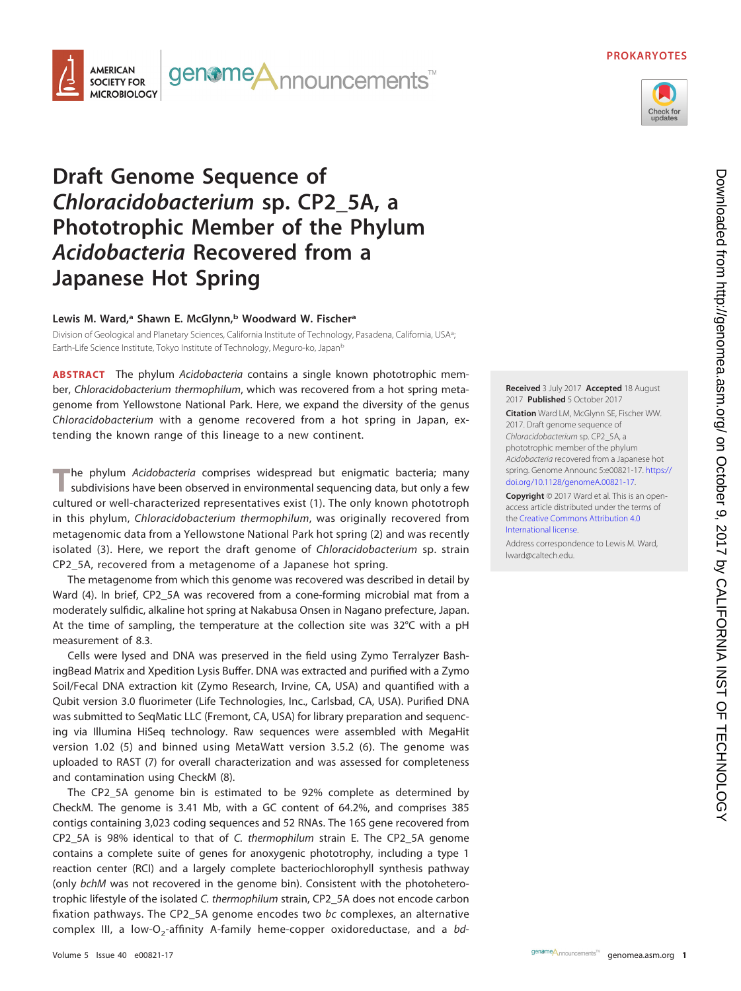## **PROKARYOTES**





# **Draft Genome Sequence of Chloracidobacterium sp. CP2\_5A, a Phototrophic Member of the Phylum Acidobacteria Recovered from a Japanese Hot Spring**

## **Lewis M. Ward,a Shawn E. McGlynn,b Woodward W. Fischera**

Division of Geological and Planetary Sciences, California Institute of Technology, Pasadena, California, USA<sup>a</sup>; ; Earth-Life Science Institute, Tokyo Institute of Technology, Meguro-ko, Japanb

**ABSTRACT** The phylum Acidobacteria contains a single known phototrophic member, Chloracidobacterium thermophilum, which was recovered from a hot spring metagenome from Yellowstone National Park. Here, we expand the diversity of the genus Chloracidobacterium with a genome recovered from a hot spring in Japan, extending the known range of this lineage to a new continent.

The phylum *Acidobacteria* comprises widespread but enigmatic bacteria; many subdivisions have been observed in environmental sequencing data, but only a few cultured or well-characterized representatives exist [\(1\)](#page-1-0). The only known phototroph in this phylum, Chloracidobacterium thermophilum, was originally recovered from metagenomic data from a Yellowstone National Park hot spring [\(2\)](#page-1-1) and was recently isolated [\(3\)](#page-1-2). Here, we report the draft genome of Chloracidobacterium sp. strain CP2\_5A, recovered from a metagenome of a Japanese hot spring.

The metagenome from which this genome was recovered was described in detail by Ward [\(4\)](#page-1-3). In brief, CP2\_5A was recovered from a cone-forming microbial mat from a moderately sulfidic, alkaline hot spring at Nakabusa Onsen in Nagano prefecture, Japan. At the time of sampling, the temperature at the collection site was 32°C with a pH measurement of 8.3.

Cells were lysed and DNA was preserved in the field using Zymo Terralyzer BashingBead Matrix and Xpedition Lysis Buffer. DNA was extracted and purified with a Zymo Soil/Fecal DNA extraction kit (Zymo Research, Irvine, CA, USA) and quantified with a Qubit version 3.0 fluorimeter (Life Technologies, Inc., Carlsbad, CA, USA). Purified DNA was submitted to SeqMatic LLC (Fremont, CA, USA) for library preparation and sequencing via Illumina HiSeq technology. Raw sequences were assembled with MegaHit version 1.02 [\(5\)](#page-1-4) and binned using MetaWatt version 3.5.2 [\(6\)](#page-1-5). The genome was uploaded to RAST [\(7\)](#page-1-6) for overall characterization and was assessed for completeness and contamination using CheckM [\(8\)](#page-1-7).

The CP2\_5A genome bin is estimated to be 92% complete as determined by CheckM. The genome is 3.41 Mb, with a GC content of 64.2%, and comprises 385 contigs containing 3,023 coding sequences and 52 RNAs. The 16S gene recovered from CP2\_5A is 98% identical to that of C. thermophilum strain E. The CP2\_5A genome contains a complete suite of genes for anoxygenic phototrophy, including a type 1 reaction center (RCI) and a largely complete bacteriochlorophyll synthesis pathway (only bchM was not recovered in the genome bin). Consistent with the photoheterotrophic lifestyle of the isolated C. thermophilum strain, CP2\_5A does not encode carbon fixation pathways. The CP2\_5A genome encodes two bc complexes, an alternative complex III, a low-O<sub>2</sub>-affinity A-family heme-copper oxidoreductase, and a bd**Received** 3 July 2017 **Accepted** 18 August 2017 **Published** 5 October 2017

**Citation** Ward LM, McGlynn SE, Fischer WW. 2017. Draft genome sequence of Chloracidobacterium sp. CP2\_5A, a phototrophic member of the phylum Acidobacteria recovered from a Japanese hot spring. Genome Announc 5:e00821-17. [https://](https://doi.org/10.1128/genomeA.00821-17) [doi.org/10.1128/genomeA.00821-17.](https://doi.org/10.1128/genomeA.00821-17)

**Copyright** © 2017 Ward et al. This is an openaccess article distributed under the terms of the [Creative Commons Attribution 4.0](https://creativecommons.org/licenses/by/4.0/) [International](https://creativecommons.org/licenses/by/4.0/) license.

Address correspondence to Lewis M. Ward, [lward@caltech.edu.](mailto:lward@caltech.edu)